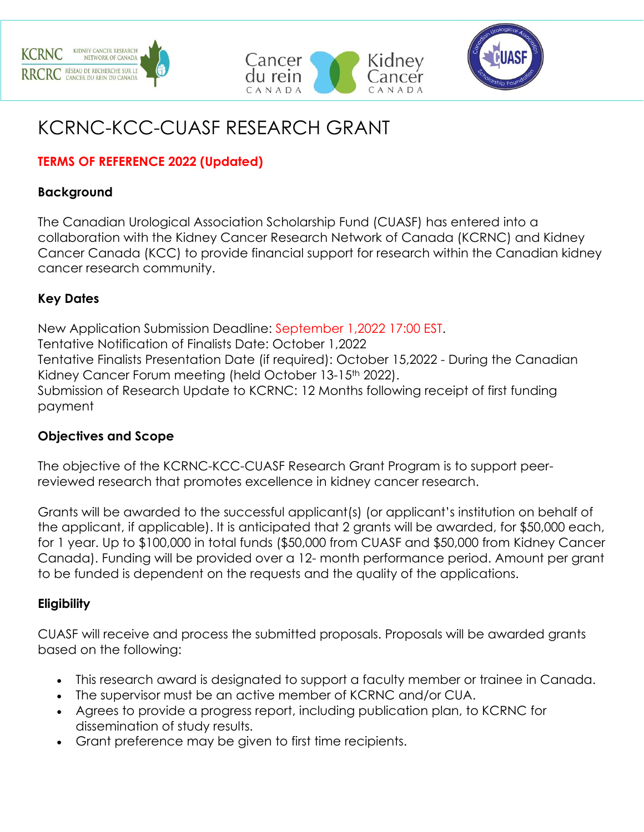





# KCRNC-KCC-CUASF RESEARCH GRANT

# **TERMS OF REFERENCE 2022 (Updated)**

#### **Background**

The Canadian Urological Association Scholarship Fund (CUASF) has entered into a collaboration with the Kidney Cancer Research Network of Canada (KCRNC) and Kidney Cancer Canada (KCC) to provide financial support for research within the Canadian kidney cancer research community.

#### **Key Dates**

New Application Submission Deadline: September 1,2022 17:00 EST. Tentative Notification of Finalists Date: October 1,2022 Tentative Finalists Presentation Date (if required): October 15,2022 - During the Canadian Kidney Cancer Forum meeting (held October 13-15<sup>th</sup> 2022). Submission of Research Update to KCRNC: 12 Months following receipt of first funding payment

#### **Objectives and Scope**

The objective of the KCRNC-KCC-CUASF Research Grant Program is to support peerreviewed research that promotes excellence in kidney cancer research.

Grants will be awarded to the successful applicant(s) (or applicant's institution on behalf of the applicant, if applicable). It is anticipated that 2 grants will be awarded, for \$50,000 each, for 1 year. Up to \$100,000 in total funds (\$50,000 from CUASF and \$50,000 from Kidney Cancer Canada). Funding will be provided over a 12- month performance period. Amount per grant to be funded is dependent on the requests and the quality of the applications.

#### **Eligibility**

CUASF will receive and process the submitted proposals. Proposals will be awarded grants based on the following:

- This research award is designated to support a faculty member or trainee in Canada.
- The supervisor must be an active member of KCRNC and/or CUA.
- Agrees to provide a progress report, including publication plan, to KCRNC for dissemination of study results.
- Grant preference may be given to first time recipients.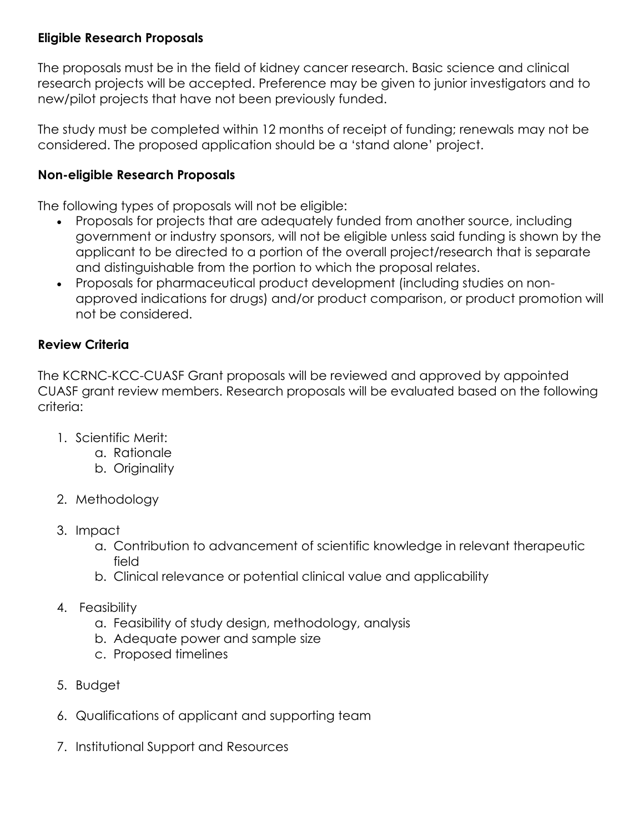#### **Eligible Research Proposals**

The proposals must be in the field of kidney cancer research. Basic science and clinical research projects will be accepted. Preference may be given to junior investigators and to new/pilot projects that have not been previously funded.

The study must be completed within 12 months of receipt of funding; renewals may not be considered. The proposed application should be a 'stand alone' project.

#### **Non-eligible Research Proposals**

The following types of proposals will not be eligible:

- Proposals for projects that are adequately funded from another source, including government or industry sponsors, will not be eligible unless said funding is shown by the applicant to be directed to a portion of the overall project/research that is separate and distinguishable from the portion to which the proposal relates.
- Proposals for pharmaceutical product development (including studies on nonapproved indications for drugs) and/or product comparison, or product promotion will not be considered.

#### **Review Criteria**

The KCRNC-KCC-CUASF Grant proposals will be reviewed and approved by appointed CUASF grant review members. Research proposals will be evaluated based on the following criteria:

- 1. Scientific Merit:
	- a. Rationale
	- b. Originality
- 2. Methodology
- 3. Impact
	- a. Contribution to advancement of scientific knowledge in relevant therapeutic field
	- b. Clinical relevance or potential clinical value and applicability
- 4. Feasibility
	- a. Feasibility of study design, methodology, analysis
	- b. Adequate power and sample size
	- c. Proposed timelines
- 5. Budget
- 6. Qualifications of applicant and supporting team
- 7. Institutional Support and Resources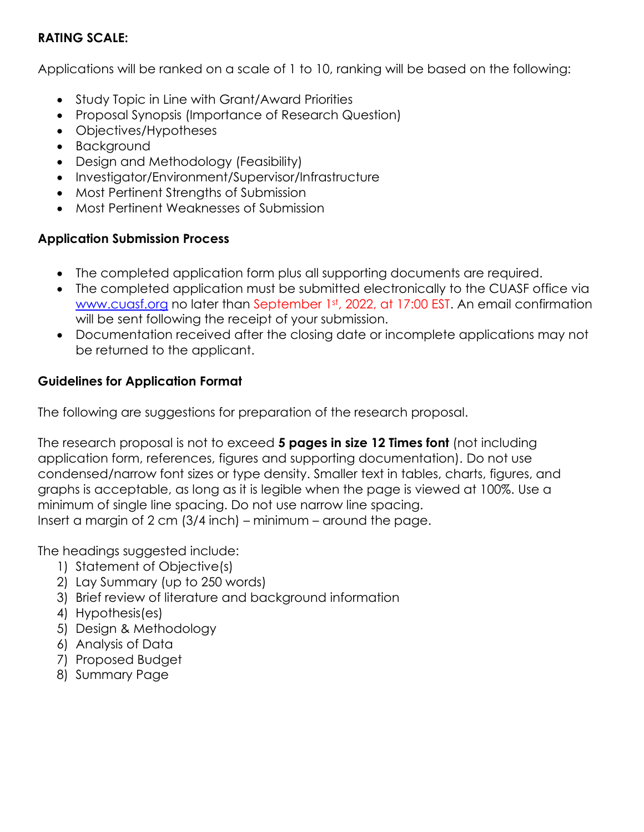### **RATING SCALE:**

Applications will be ranked on a scale of 1 to 10, ranking will be based on the following:

- Study Topic in Line with Grant/Award Priorities
- Proposal Synopsis (Importance of Research Question)
- Objectives/Hypotheses
- Background
- Design and Methodology (Feasibility)
- Investigator/Environment/Supervisor/Infrastructure
- Most Pertinent Strengths of Submission
- Most Pertinent Weaknesses of Submission

# **Application Submission Process**

- The completed application form plus all supporting documents are required.
- The completed application must be submitted electronically to the CUASF office via [www.cuasf.org](http://www.cuasf.org/) no later than September 1st, 2022, at 17:00 EST. An email confirmation will be sent following the receipt of your submission.
- Documentation received after the closing date or incomplete applications may not be returned to the applicant.

# **Guidelines for Application Format**

The following are suggestions for preparation of the research proposal.

The research proposal is not to exceed **5 pages in size 12 Times font** (not including application form, references, figures and supporting documentation). Do not use condensed/narrow font sizes or type density. Smaller text in tables, charts, figures, and graphs is acceptable, as long as it is legible when the page is viewed at 100%. Use a minimum of single line spacing. Do not use narrow line spacing. Insert a margin of 2 cm (3/4 inch) – minimum – around the page.

The headings suggested include:

- 1) Statement of Objective(s)
- 2) Lay Summary (up to 250 words)
- 3) Brief review of literature and background information
- 4) Hypothesis(es)
- 5) Design & Methodology
- 6) Analysis of Data
- 7) Proposed Budget
- 8) Summary Page